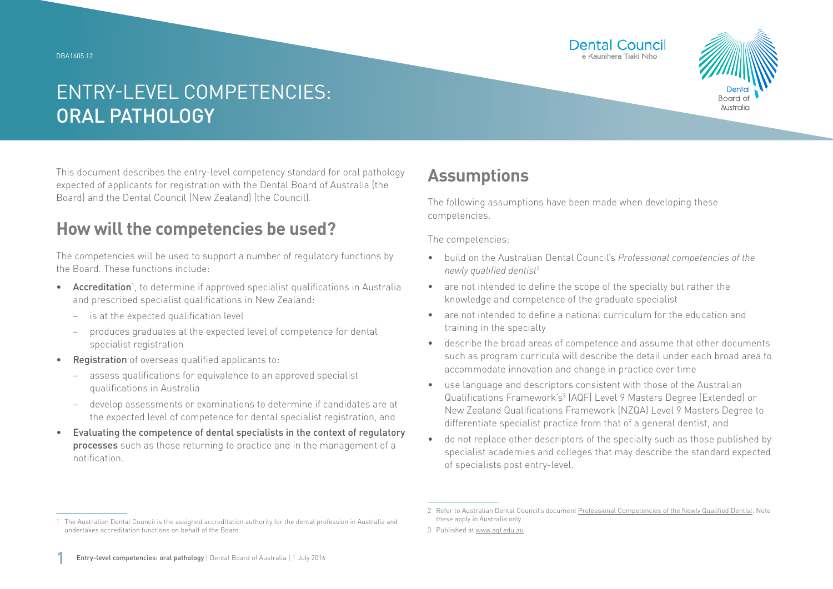DBA1605 12





# ENTRY-LEVEL COMPETENCIES: ORAL PATHOLOGY

This document describes the entry-level competency standard for oral pathology expected of applicants for registration with the Dental Board of Australia (the Board) and the Dental Council (New Zealand) (the Council).

### **How will the competencies be used?**

The competencies will be used to support a number of regulatory functions by the Board. These functions include:

- Accreditation<sup>1</sup>, to determine if approved specialist qualifications in Australia and prescribed specialist qualifications in New Zealand:
	- − is at the expected qualification level
	- − produces graduates at the expected level of competence for dental specialist registration
- Registration of overseas qualified applicants to:
	- assess qualifications for equivalence to an approved specialist qualifications in Australia
	- − develop assessments or examinations to determine if candidates are at the expected level of competence for dental specialist registration, and
- Evaluating the competence of dental specialists in the context of regulatory processes such as those returning to practice and in the management of a notification.

### **Assumptions**

The following assumptions have been made when developing these competencies.

The competencies:

- build on the Australian Dental Council's *Professional competencies of the newly qualified dentist*<sup>2</sup>
- are not intended to define the scope of the specialty but rather the knowledge and competence of the graduate specialist
- are not intended to define a national curriculum for the education and training in the specialty
- describe the broad areas of competence and assume that other documents such as program curricula will describe the detail under each broad area to accommodate innovation and change in practice over time
- use language and descriptors consistent with those of the Australian Qualifications Framework's<sup>3</sup> (AQF) Level 9 Masters Degree (Extended) or New Zealand Qualifications Framework (NZQA) Level 9 Masters Degree to differentiate specialist practice from that of a general dentist, and
- do not replace other descriptors of the specialty such as those published by specialist academies and colleges that may describe the standard expected of specialists post entry-level.

<sup>1</sup> The Australian Dental Council is the assigned accreditation authority for the dental profession in Australia and undertakes accreditation functions on behalf of the Board.

<sup>2</sup> Refer to Australian Dental Council's document [Professional Competencies of the Newly Qualified Dentist.](http://Professional Competencies of the Newly Qualified Dentist) Note these apply in Australia only.

<sup>3</sup> Published at [www.aqf.edu.au](http://www.aqf.edu.au)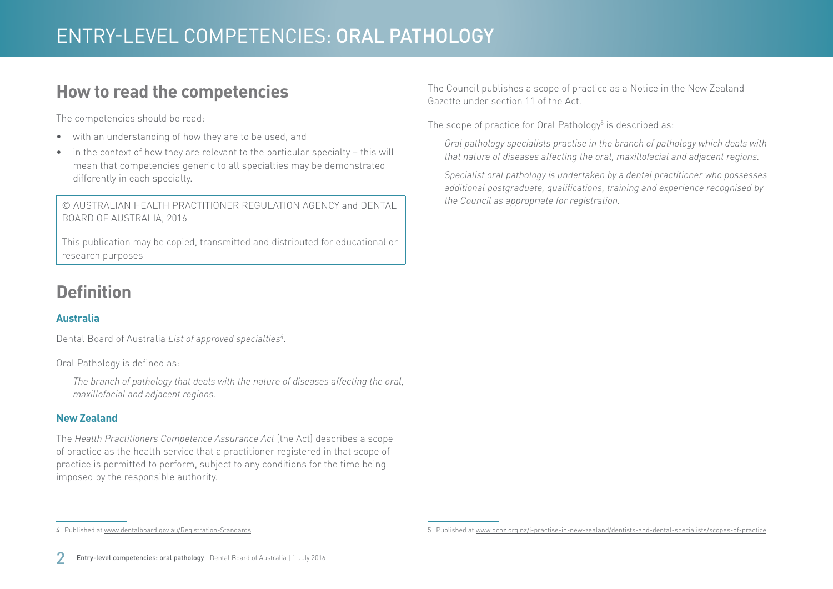### **How to read the competencies**

The competencies should be read:

- with an understanding of how they are to be used, and
- in the context of how they are relevant to the particular specialty this will mean that competencies generic to all specialties may be demonstrated differently in each specialty.

© AUSTRALIAN HEALTH PRACTITIONER REGULATION AGENCY and DENTAL BOARD OF AUSTRALIA, 2016

This publication may be copied, transmitted and distributed for educational or research purposes

## **Definition**

#### **Australia**

Dental Board of Australia *List of approved specialties*<sup>4</sup> .

Oral Pathology is defined as:

*The branch of pathology that deals with the nature of diseases affecting the oral, maxillofacial and adjacent regions.*

#### **New Zealand**

The *Health Practitioners Competence Assurance Act* (the Act) describes a scope of practice as the health service that a practitioner registered in that scope of practice is permitted to perform, subject to any conditions for the time being imposed by the responsible authority.

The Council publishes a scope of practice as a Notice in the New Zealand Gazette under section 11 of the Act.

The scope of practice for Oral Pathology $^5$  is described as:

*Oral pathology specialists practise in the branch of pathology which deals with that nature of diseases affecting the oral, maxillofacial and adjacent regions.*

*Specialist oral pathology is undertaken by a dental practitioner who possesses additional postgraduate, qualifications, training and experience recognised by the Council as appropriate for registration.* 

4 Published at [www.dentalboard.gov.au/Registration-Standards](http://www.dentalboard.gov.au/Registration-Standards.aspx)

<sup>5</sup> Published at [www.dcnz.org.nz/i-practise-in-new-zealand/dentists-and-dental-specialists/scopes-of-practice](http://www.dcnz.org.nz/i-practise-in-new-zealand/dentists-and-dental-specialists/scopes-of-practice)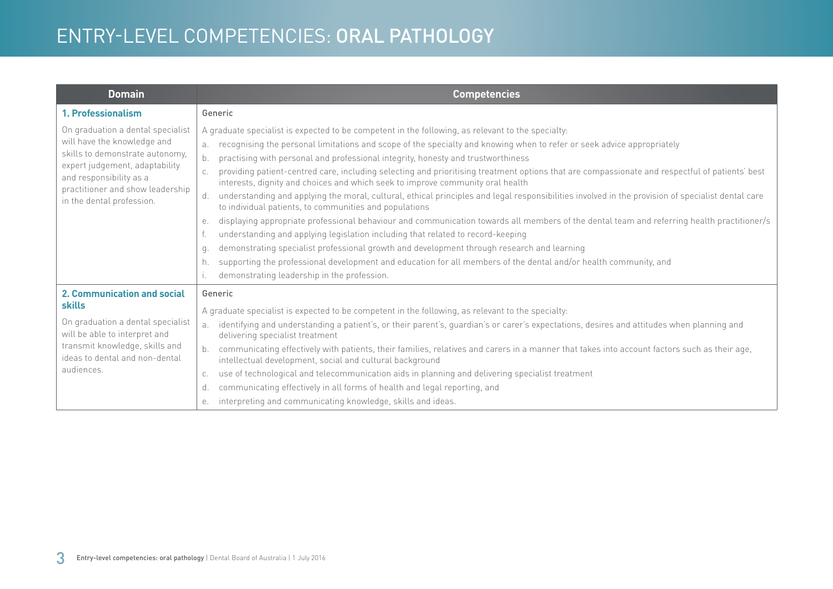| <b>Domain</b>                                                                                                                                                                                                                     | <b>Competencies</b>                                                                                                                                                                                                                                                                                                                                                                                                                                                                                                                                                                                                                                                                                                                                                                                                                                                                                                                                                                                                                                                                                                                                                                                                                                                                                                                     |
|-----------------------------------------------------------------------------------------------------------------------------------------------------------------------------------------------------------------------------------|-----------------------------------------------------------------------------------------------------------------------------------------------------------------------------------------------------------------------------------------------------------------------------------------------------------------------------------------------------------------------------------------------------------------------------------------------------------------------------------------------------------------------------------------------------------------------------------------------------------------------------------------------------------------------------------------------------------------------------------------------------------------------------------------------------------------------------------------------------------------------------------------------------------------------------------------------------------------------------------------------------------------------------------------------------------------------------------------------------------------------------------------------------------------------------------------------------------------------------------------------------------------------------------------------------------------------------------------|
| 1. Professionalism                                                                                                                                                                                                                | Generic                                                                                                                                                                                                                                                                                                                                                                                                                                                                                                                                                                                                                                                                                                                                                                                                                                                                                                                                                                                                                                                                                                                                                                                                                                                                                                                                 |
| On graduation a dental specialist<br>will have the knowledge and<br>skills to demonstrate autonomy,<br>expert judgement, adaptability<br>and responsibility as a<br>practitioner and show leadership<br>in the dental profession. | A graduate specialist is expected to be competent in the following, as relevant to the specialty:<br>recognising the personal limitations and scope of the specialty and knowing when to refer or seek advice appropriately<br>a <sub>x</sub><br>$b$ .<br>practising with personal and professional integrity, honesty and trustworthiness<br>providing patient-centred care, including selecting and prioritising treatment options that are compassionate and respectful of patients' best<br>interests, dignity and choices and which seek to improve community oral health<br>understanding and applying the moral, cultural, ethical principles and legal responsibilities involved in the provision of specialist dental care<br>d.<br>to individual patients, to communities and populations<br>displaying appropriate professional behaviour and communication towards all members of the dental team and referring health practitioner/s<br>е.<br>understanding and applying legislation including that related to record-keeping<br>demonstrating specialist professional growth and development through research and learning<br>q.<br>supporting the professional development and education for all members of the dental and/or health community, and<br>h.<br>demonstrating leadership in the profession.<br>$\mathsf{L}$ |
| 2. Communication and social<br><b>skills</b><br>On graduation a dental specialist<br>will be able to interpret and<br>transmit knowledge, skills and<br>ideas to dental and non-dental<br>audiences.                              | Generic<br>A graduate specialist is expected to be competent in the following, as relevant to the specialty:<br>identifying and understanding a patient's, or their parent's, guardian's or carer's expectations, desires and attitudes when planning and<br>a.<br>delivering specialist treatment<br>communicating effectively with patients, their families, relatives and carers in a manner that takes into account factors such as their age,<br>intellectual development, social and cultural background<br>use of technological and telecommunication aids in planning and delivering specialist treatment<br>C.<br>communicating effectively in all forms of health and legal reporting, and<br>d.<br>interpreting and communicating knowledge, skills and ideas.<br>е.                                                                                                                                                                                                                                                                                                                                                                                                                                                                                                                                                         |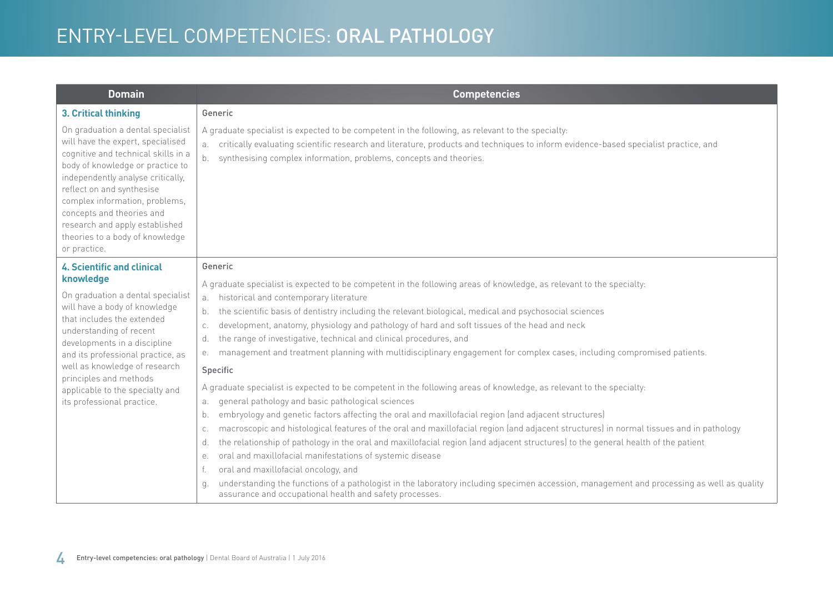| <b>Domain</b>                                                                                                                                                                                                                                                                                                                                                                  | <b>Competencies</b>                                                                                                                                                                                                                                                                                                                                                                                                                                                                                                                                                                                                                                                                                                                                                                                                                                                                                                                                                                                                                                                                                                                                                                                                                                                                                                                                                                                                                                                                                                                                 |
|--------------------------------------------------------------------------------------------------------------------------------------------------------------------------------------------------------------------------------------------------------------------------------------------------------------------------------------------------------------------------------|-----------------------------------------------------------------------------------------------------------------------------------------------------------------------------------------------------------------------------------------------------------------------------------------------------------------------------------------------------------------------------------------------------------------------------------------------------------------------------------------------------------------------------------------------------------------------------------------------------------------------------------------------------------------------------------------------------------------------------------------------------------------------------------------------------------------------------------------------------------------------------------------------------------------------------------------------------------------------------------------------------------------------------------------------------------------------------------------------------------------------------------------------------------------------------------------------------------------------------------------------------------------------------------------------------------------------------------------------------------------------------------------------------------------------------------------------------------------------------------------------------------------------------------------------------|
| 3. Critical thinking                                                                                                                                                                                                                                                                                                                                                           | Generic                                                                                                                                                                                                                                                                                                                                                                                                                                                                                                                                                                                                                                                                                                                                                                                                                                                                                                                                                                                                                                                                                                                                                                                                                                                                                                                                                                                                                                                                                                                                             |
| On graduation a dental specialist<br>will have the expert, specialised<br>cognitive and technical skills in a<br>body of knowledge or practice to<br>independently analyse critically,<br>reflect on and synthesise<br>complex information, problems,<br>concepts and theories and<br>research and apply established<br>theories to a body of knowledge<br>or practice.        | A graduate specialist is expected to be competent in the following, as relevant to the specialty:<br>critically evaluating scientific research and literature, products and techniques to inform evidence-based specialist practice, and<br>a.<br>synthesising complex information, problems, concepts and theories.<br>b.                                                                                                                                                                                                                                                                                                                                                                                                                                                                                                                                                                                                                                                                                                                                                                                                                                                                                                                                                                                                                                                                                                                                                                                                                          |
| <b>4. Scientific and clinical</b><br>knowledge<br>On graduation a dental specialist<br>will have a body of knowledge<br>that includes the extended<br>understanding of recent<br>developments in a discipline<br>and its professional practice, as<br>well as knowledge of research<br>principles and methods<br>applicable to the specialty and<br>its professional practice. | Generic<br>A graduate specialist is expected to be competent in the following areas of knowledge, as relevant to the specialty:<br>historical and contemporary literature<br>а.<br>the scientific basis of dentistry including the relevant biological, medical and psychosocial sciences<br>b.<br>development, anatomy, physiology and pathology of hard and soft tissues of the head and neck<br>C.<br>the range of investigative, technical and clinical procedures, and<br>d.<br>management and treatment planning with multidisciplinary engagement for complex cases, including compromised patients.<br>е.<br>Specific<br>A graduate specialist is expected to be competent in the following areas of knowledge, as relevant to the specialty:<br>general pathology and basic pathological sciences<br>a.<br>embryology and genetic factors affecting the oral and maxillofacial region (and adjacent structures)<br>b.<br>macroscopic and histological features of the oral and maxillofacial region (and adjacent structures) in normal tissues and in pathology<br>C.<br>the relationship of pathology in the oral and maxillofacial region (and adjacent structures) to the general health of the patient<br>d.<br>oral and maxillofacial manifestations of systemic disease<br>е.<br>oral and maxillofacial oncology, and<br>understanding the functions of a pathologist in the laboratory including specimen accession, management and processing as well as quality<br>q.<br>assurance and occupational health and safety processes. |